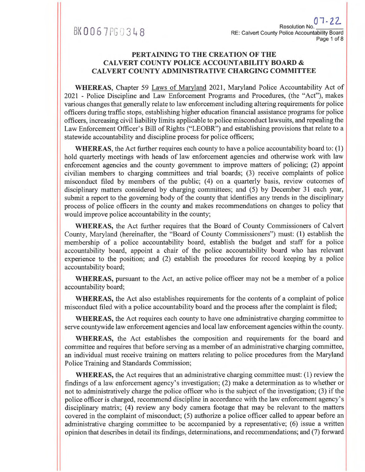### BK0067 PG0348

#### **PERTAINING TO THE CREATION OF THE CALVERT COUNTY POLICE ACCOUNTABILITY BOARD & CALVERT COUNTY ADMINISTRATIVE CHARGING COMMITTEE**

**WHEREAS,** Chapter 59 Laws of Maryland 2021, Maryland Police Accountability Act of 2021 - Police Discipline and Law Enforcement Programs and Procedures, (the "Act"), makes various changes that generally relate to law enforcement including altering requirements for police officers during traffic stops, establishing higher education financial assistance programs for police officers, increasing civil liability limits applicable to police misconduct lawsuits, and repealing the Law Enforcement Officer's Bill of Rights ("LEOBR") and establishing provisions that relate to a statewide accountability and discipline process for police officers;

**WHEREAS,** the Act further requires each county to have a police accountability board to: (1) hold quarterly meetings with heads of law enforcement agencies and otherwise work with law enforcement agencies and the county government to improve matters of policing; (2) appoint civilian members to charging committees and trial boards; (3) receive complaints of police misconduct filed by members of the public; (4) on a quarterly basis, review outcomes of disciplinary matters considered by charging committees; and (5) by December 31 each year, submit a report to the governing body of the county that identifies any trends in the disciplinary process of police officers in the county and makes recommendations on changes to policy that would improve police accountability in the county;

**WHEREAS,** the Act further requires that the Board of County Commissioners of Calvert County, Maryland (hereinafter, the "Board of County Commissioners") must: (1) establish the membership of a police accountability board, establish the budget and staff for a police accountability board, appoint a chair of the police accountability board who has relevant experience to the position; and (2) establish the procedures for record keeping by a police accountability board;

**WHEREAS,** pursuant to the Act, an active police officer may not be a member of a police accountability board;

**WHEREAS,** the Act also establishes requirements for the contents of a complaint of police misconduct filed with a police accountability board and the process after the complaint is filed;

**WHEREAS,** the Act requires each county to have one administrative charging committee to serve countywide law enforcement agencies and local law enforcement agencies within the county.

**WHEREAS,** the Act establishes the composition and requirements for the board and committee and requires that before serving as a member of an administrative charging committee, an individual must receive training on matters relating to police procedures from the Maryland Police Training and Standards Commission;

**WHEREAS,** the Act requires that an administrative charging committee must: (1) review the findings of a law enforcement agency's investigation; (2) make a determination as to whether or not to administratively charge the police officer who is the subject of the investigation; (3) if the police officer is charged, recommend discipline in accordance with the law enforcement agency's disciplinary matrix; **(4)** review any body camera footage that may be relevant to the matters covered in the complaint of misconduct; (5) authorize a police officer called to appear before an administrative charging committee to be accompanied by a representative; (6) issue a written opinion that describes in detail its findings, determinations, and recommendations; and (7) forward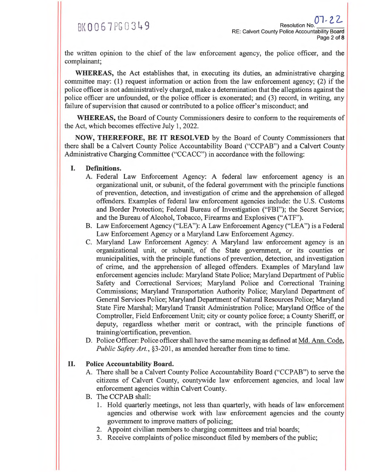the written opinion to the chief of the law enforcement agency, the police officer, and the complainant;

**WHEREAS,** the Act establishes that, in executing its duties, an administrative charging committee may: (1) request information or action from the law enforcement agency; (2) if the police officer is not administratively charged, make a determination that the allegations against the police officer are unfounded, or the police officer is exonerated; and (3) record, in writing, any failure of supervision that caused or contributed to a police officer's misconduct; and

**WHEREAS,** the Board of County Commissioners desire to conform to the requirements of the Act, which becomes effective July 1, 2022.

**NOW, THEREFORE, BE IT RESOLVED** by the Board of County Commissioners that there shall be a Calvert County Police Accountability Board ("CCPAB") and a Calvert County Administrative Charging Committee ("CCACC") in accordance with the following:

- **I. Definitions.** 
	- A. Federal Law Enforcement Agency: A federal law enforcement agency is an organizational unit, or subunit, of the federal government with the principle functions of prevention, detection, and investigation of crime and the apprehension of alleged offenders. Examples of federal law enforcement agencies include: the U.S. Customs and Border Protection; Federal Bureau of Investigation ("FBI"); the Secret Service; and the Bureau of Alcohol, Tobacco, Firearms and Explosives ("ATF").
	- B. Law Enforcement Agency ("LEA"): A Law Enforcement Agency ("LEA") is a Federal Law Enforcement Agency or a Maryland Law Enforcement Agency.
	- C. Maryland Law Enforcement Agency: A Maryland law enforcement agency is an organizational unit, or subunit, of the State government, or its counties or municipalities, with the principle functions of prevention, detection, and investigation of crime, and the apprehension of alleged offenders. Examples of Maryland law enforcement agencies include: Maryland State Police; Maryland Department of Public Safety and Correctional Services; Maryland Police and Correctional Training Commissions; Maryland Transportation Authority Police; Maryland Department of General Services Police; Maryland Department of Natural Resources Police; Maryland State Fire Marshal; Maryland Transit Administration Police; Maryland Office of the Comptroller, Field Enforcement Unit; city or county police force; a County Sheriff, or deputy, regardless whether merit or contract, with the principle functions of training/certification, prevention.
	- D. Police Officer: Police officer shall have the same meaning as defined at Md. Ann. Code, *Public Safety Art.*, §3-201, as amended hereafter from time to time.

#### **II. Police Accountability Board.**

- A. There shall be a Calvert County Police Accountability Board ("CCPAB") to serve the citizens of Calvert County, countywide law enforcement agencies, and local law enforcement agencies within Calvert County.
- B. The CCPAB shall:
	- 1. Hold quarterly meetings, not less than quarterly, with heads of law enforcement agencies and otherwise work with law enforcement agencies and the county government to improve matters of policing;
	- 2. Appoint civilian members to charging committees and trial boards;
	- 3. Receive complaints of police misconduct filed by members of the public;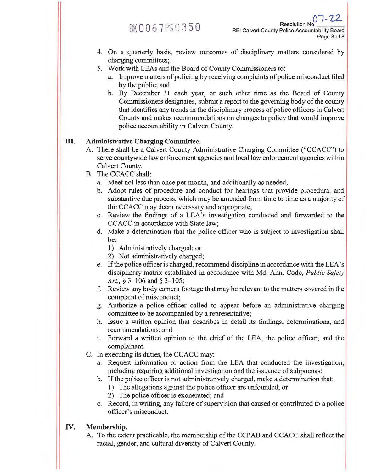Resolution No.<br>RE: Calvert County Police Account RE: Calvert County Police Accountability Board Page 3 of 8

- 4. On a quarterly basis, review outcomes of disciplinary matters considered by charging committees;
- 5. Work with LEAs and the Board of County Commissioners to:
	- a. Improve matters of policing by receiving complaints of police misconduct filed by the public; and
	- b. By December 31 each year, or such other time as the Board of County Commissioners designates, submit a report to the governing body of the county that identifies any trends in the disciplinary process of police officers in Calvert County and makes recommendations on changes to policy that would improve police accountability in Calvert County.

#### **III. Administrative Charging Committee.**

- A. There shall be a Calvert County Administrative Charging Committee ("CCACC") to serve countywide law enforcement agencies and local law enforcement agencies within Calvert County.
- B. The CCACC shall:
	- a. Meet not less than once per month, and additionally as needed;
	- b. Adopt rules of procedure and conduct for hearings that provide procedural and substantive due process, which may be amended from time to time as a majority of the CCACC may deem necessary and appropriate;
	- c. Review the findings of a LEA's investigation conducted and forwarded to the CCACC in accordance with State law;
	- d. Make a determination that the police officer who is subject to investigation shall be:
		- 1) Administratively charged; or
		- 2) Not administratively charged;
	- e. If the police officer is charged, recommend discipline in accordance with the LEA's disciplinary matrix established in accordance with Md. Ann. Code, *Public Safety Art., §* 3-106 and § 3-105;
	- f. Review any body camera footage that may be relevant to the matters covered in the complaint of misconduct;
	- g. Authorize a police officer called to appear before an administrative charging committee to be accompanied by a representative;
	- h. Issue a written opinion that describes in detail its findings, determinations, and recommendations; and
	- i. Forward a written opinion to the chief of the LEA, the police officer, and the complainant.
- C. In executing its duties, the CCACC may:
	- a. Request information or action from the LEA that conducted the investigation, including requiring additional investigation and the issuance of subpoenas;
	- b. If the police officer is not administratively charged, make a determination that:
		- 1) The allegations against the police officer are unfounded; or
		- 2) The police officer is exonerated; and
	- c. Record, in writing, any failure of supervision that caused or contributed to a police officer's misconduct.

#### **IV. Membership.**

A. To the extent practicable, the membership of the CCPAB and CCACC shall reflect the racial, gender, and cultural diversity of Calvert County.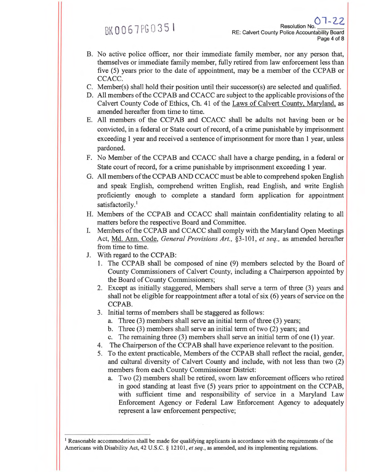BK 006-7FG 0351

- B. No active police officer, nor their immediate family member, nor any person that, themselves or immediate family member, fully retired from law enforcement less than five (5) years prior to the date of appointment, may be a member of the CCPAB or CCACC.
- C. Member(s) shall hold their position until their successor(s) are selected and qualified.
- D. All members of the CCPAB and CCACC are subject to the applicable provisions of the Calvert County Code of Ethics, Ch. 41 of the Laws of Calvert County, Maryland, as amended hereafter from time to time.
- E. All members of the CCPAB and CCACC shall be adults not having been or be convicted, in a federal or State court of record, of a crime punishable by imprisonment exceeding 1 year and received a sentence of imprisonment for more than 1 year, unless pardoned.
- F. No Member of the CCPAB and CCACC shall have a charge pending, in a federal or State court of record, for a crime punishable by imprisonment exceeding 1 year.
- G. All members of the CCPAB AND CCACC must be able to comprehend spoken English and speak English, comprehend written English, read English, and write English proficiently enough to complete a standard form application for appointment satisfactorily.<sup>1</sup>
- H. Members of the CCPAB and CCACC shall maintain confidentiality relating to all matters before the respective Board and Committee.
- I. Members of the CCPAB and CCACC shall comply with the Maryland Open Meetings Act, Md. Ann. Code, *General Provisions Art.,* §3-101, *et seq.,* as amended hereafter from time to time.
- J. With regard to the CCPAB:
	- 1. The CCPAB shall be composed of nine (9) members selected by the Board of County Commissioners of Calvert County, including a Chairperson appointed by the Board of County Commissioners;
	- 2. Except as initially staggered, Members shall serve a term of three (3) years and shall not be eligible for reappointment after a total of six (6) years of service on the CCPAB.
	- 3. Initial terms of members shall be staggered as follows:
		- a. Three (3) members shall serve an initial term of three (3) years;
		- b. Three (3) members shall serve an initial term of two (2) years; and
		- c. The remaining three (3) members shall serve an initial term of one (1) year.
	- 4. The Chairperson of the CCPAB shall have experience relevant to the position.
	- 5. To the extent practicable, Members of the CCPAB shall reflect the racial, gender, and cultural diversity of Calvert County and include, with not less than two (2) members from each County Commissioner District:
		- a. Two (2) members shall be retired, sworn law enforcement officers who retired in good standing at least five (5) years prior to appointment on the CCPAB, with sufficient time and responsibility of service in a Maryland Law Enforcement Agency or Federal Law Enforcement Agency to adequately represent a law enforcement perspective;

Reasonable accommodation shall be made for qualifying applicants in accordance with the requirements of the Americans with Disability Act, 42 U.S.C. § 12101, *et seq.,* as amended, and its implementing regulations.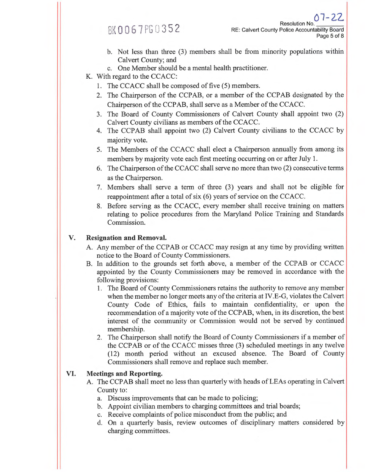### BK0067 PG0352

- b. Not less than three (3) members shall be from minority populations within Calvert County; and
- c. One Member should be a mental health practitioner.
- K. With regard to the CCACC:
	- 1. The CCACC shall be composed of five (5) members.
	- 2. The Chairperson of the CCPAB, or a member of the CCPAB designated by the Chairperson of the CCPAB, shall serve as a Member of the CCACC.
	- 3. The Board of County Commissioners of Calvert County shall appoint two (2) Calvert County civilians as members of the CCACC.
	- 4. The CCPAB shall appoint two (2) Calvert County civilians to the CCACC by majority vote.
	- 5. The Members of the CCACC shall elect a Chairperson annually from among its members by majority vote each first meeting occurring on or after July **1.**
	- 6. The Chairperson of the CCACC shall serve no more than two (2) consecutive terms as the Chairperson.
	- 7. Members shall serve a term of three (3) years and shall not be eligible for reappointment after a total of six (6) years of service on the CCACC.
	- 8. Before serving as the CCACC, every member shall receive training on matters relating to police procedures from the Maryland Police Training and Standards Commission.

#### **V. Resignation and Removal.**

- A. Any member of the CCPAB or CCACC may resign at any time by providing written notice to the Board of County Commissioners.
- B. In addition to the grounds set forth above, a member of the CCPAB or CCACC appointed by the County Commissioners may be removed in accordance with the following provisions:
	- 1. The Board of County Commissioners retains the authority to remove any member when the member no longer meets any of the criteria at IV.E-G, violates the Calvert County Code of Ethics, fails to maintain confidentiality, or upon the recommendation of a majority vote of the CCPAB, when, in its discretion, the best interest of the community or Commission would not be served by continued membership.
	- 2. The Chairperson shall notify the Board of County Commissioners if a member of the CCPAB or of the CCACC misses three (3) scheduled meetings in any twelve (12) month period without an excused absence. The Board of County Commissioners shall remove and replace such member.

#### **VI. Meetings and Reporting.**

- A. The CCPAB shall meet no less than quarterly with heads of LEAs operating in Calvert County to:
	- a. Discuss improvements that can be made to policing;
	- b. Appoint civilian members to charging committees and trial boards;
	- c. Receive complaints of police misconduct from the public; and
	- d. On a quarterly basis, review outcomes of disciplinary matters considered by charging committees.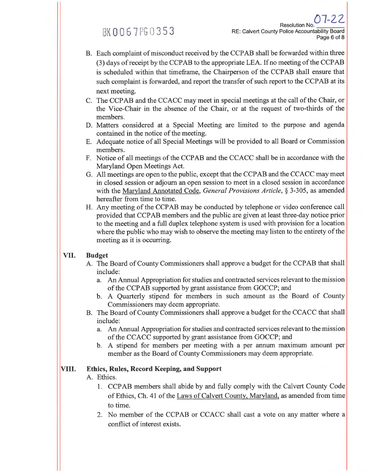## BK0067PG0353

- B. Each complaint of misconduct received by the CCPAB shall be forwarded within three (3) days of receipt by the CCPAB to the appropriate LEA. If no meeting of the CCPAB is scheduled within that timeframe, the Chairperson of the CCPAB shall ensure that such complaint is forwarded, and report the transfer of such report to the CCPAB at its next meeting.
- C. The CCPAB and the CCACC may meet in special meetings at the call of the Chair, or the Vice-Chair in the absence of the Chair, or at the request of two-thirds of the members.
- D. Matters considered at a Special Meeting are limited to the purpose and agenda contained in the notice of the meeting.
- E. Adequate notice of all Special Meetings will be provided to all Board or Commission members.
- F. Notice of all meetings of the CCPAB and the CCACC shall be in accordance with the Maryland Open Meetings Act.
- G. All meetings are open to the public, except that the CCPAB and the CCACC may meet in closed session or adjourn an open session to meet in a closed session in accordance with the Maryland Annotated Code, *General Provisions Article, §* 3-305, as amended hereafter from time to time.
- H. Any meeting of the CCPAB may be conducted by telephone or video conference call provided that CCPAB members and the public are given at least three-day notice prior to the meeting and a full duplex telephone system is used with provision for a location where the public who may wish to observe the meeting may listen to the entirety of the meeting as it is occurring.

#### **VII. Budget**

- A. The Board of County Commissioners shall approve a budget for the CCPAB that shall include:
	- a. An Annual Appropriation for studies and contracted services relevant to the mission of the CCPAB supported by grant assistance from GOCCP; and
	- b. A Quarterly stipend for members in such amount as the Board of County Commissioners may deem appropriate.
- B. The Board of County Commissioners shall approve a budget for the CCACC that shall include:
	- a. An Annual Appropriation for studies and contracted services relevant to the mission of the CCACC supported by grant assistance from GOCCP; and
	- b. A stipend for members per meeting with a per annum maximum amount per member as the Board of County Commissioners may deem appropriate.

#### **VIII. Ethics, Rules, Record Keeping, and Support**

#### A. Ethics.

- 1. CCPAB members shall abide by and fully comply with the Calvert County Code of Ethics, Ch. 41 of the Laws of Calvert County, Maryland, as amended from time to time.
- 2. No member of the CCPAB or CCACC shall cast a vote on any matter where a conflict of interest exists.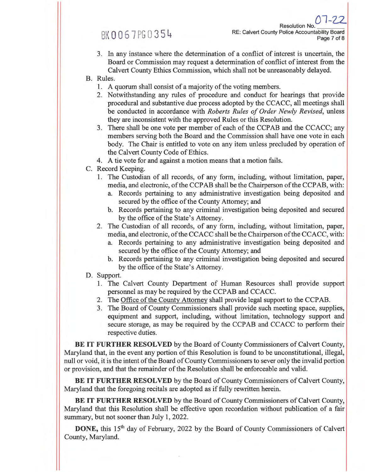### BK0067PG0354

Resolution No. RE: Calvert County Police Accountability Board Page 7 of 8

- 3. In any instance where the determination of a conflict of interest is uncertain, the Board or Commission may request a determination of conflict of interest from the Calvert County Ethics Commission, which shall not be unreasonably delayed.
- B. Rules.
	- 1. A quorum shall consist of a majority of the voting members.
	- 2. Notwithstanding any rules of procedure and conduct for hearings that provide procedural and substantive due process adopted by the CCACC, all meetings shall be conducted in accordance with *Roberts Rules of Order Newly Revised,* unless they are inconsistent with the approved Rules or this Resolution.
	- 3. There shall be one vote per member of each of the CCPAB and the CCACC; any members serving both the Board and the Commission shall have one vote in each body. The Chair is entitled to vote on any item unless precluded by operation of the Calvert County Code of Ethics.
	- 4. A tie vote for and against a motion means that a motion fails.
- C. Record Keeping.
	- 1. The Custodian of all records, of any form, including, without limitation, paper, media, and electronic, of the CCPAB shall be the Chairperson of the CCPAB, with:
		- a. Records pertaining to any administrative investigation being deposited and secured by the office of the County Attorney; and
		- b. Records pertaining to any criminal investigation being deposited and secured by the office of the State's Attorney.
	- 2. The Custodian of all records, of any form, including, without limitation, paper, media, and electronic, of the CCACC shall be the Chairperson of the CCACC, with:
		- a. Records pertaining to any administrative investigation being deposited and secured by the office of the County Attorney; and
		- b. Records pertaining to any criminal investigation being deposited and secured by the office of the State's Attorney.
- D. Support.
	- 1. The Calvert County Department of Human Resources shall provide support personnel as may be required by the CCPAB and CCACC.
	- 2. The Office of the County Attorney shall provide legal support to the CCPAB.
	- 3. The Board of County Commissioners shall provide such meeting space, supplies, equipment and support, including, without limitation, technology support and secure storage, as may be required by the CCPAB and CCACC to perform their respective duties.

**BE IT FURTHER RESOLVED** by the Board of County Commissioners of Calvert County, Maryland that, in the event any portion of this Resolution is found to be unconstitutional, illegal, null or void, it is the intent of the Board of County Commissioners to sever only the invalid portion or provision, and that the remainder of the Resolution shall be enforceable and valid.

**BE IT FURTHER RESOLVED** by the Board of County Commissioners of Calvert County, Maryland that the foregoing recitals are adopted as if fully rewritten herein.

**BE IT FURTHER RESOLVED** by the Board of County Commissioners of Calvert County, Maryland that this Resolution shall be effective upon recordation without publication of a fair summary, but not sooner than July 1, 2022.

**DONE**, this 15<sup>th</sup> day of February, 2022 by the Board of County Commissioners of Calvert County, Maryland.